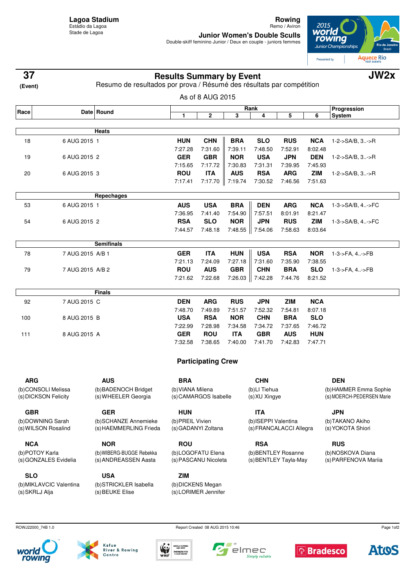**Rowing** Remo / Aviron

**Junior Women's Double Sculls**<br>Double-skiff feminino Junior / Deux en couple - juniors femmes



| 37<br>(Event)                              |                  | <b>Results Summary by Event</b><br>Resumo de resultados por prova / Résumé des résultats par compétition | JW2x                                      |                           |                         |                                              |            |                   |                                          |
|--------------------------------------------|------------------|----------------------------------------------------------------------------------------------------------|-------------------------------------------|---------------------------|-------------------------|----------------------------------------------|------------|-------------------|------------------------------------------|
|                                            |                  |                                                                                                          |                                           | As of 8 AUG 2015          |                         |                                              |            |                   |                                          |
| Race                                       |                  | Date Round                                                                                               |                                           | Rank                      |                         |                                              |            |                   | Progression                              |
|                                            |                  |                                                                                                          | 1                                         | 2                         | 3                       | 4                                            | 5          | 6                 | <b>System</b>                            |
|                                            |                  | Heats                                                                                                    |                                           |                           |                         |                                              |            |                   |                                          |
| 18                                         | 6 AUG 2015 1     |                                                                                                          | <b>HUN</b>                                | <b>CHN</b>                | <b>BRA</b>              | <b>SLO</b>                                   | <b>RUS</b> | <b>NCA</b>        | $1 - 2 - S A/B$ , $3 - S R$              |
|                                            |                  |                                                                                                          | 7:27.28                                   | 7:31.60                   | 7:39.11                 | 7:48.50                                      | 7:52.91    | 8:02.48           |                                          |
| 19                                         | 6 AUG 2015 2     |                                                                                                          | <b>GER</b>                                | <b>GBR</b>                | <b>NOR</b>              | <b>USA</b>                                   | <b>JPN</b> | <b>DEN</b>        | 1-2->SA/B, 3->R                          |
|                                            |                  |                                                                                                          | 7:15.65                                   | 7:17.72                   | 7:30.83                 | 7:31.31                                      | 7:39.95    | 7:45.93           |                                          |
| 20                                         | 6 AUG 2015 3     |                                                                                                          | <b>ROU</b>                                | <b>ITA</b>                | <b>AUS</b>              | <b>RSA</b>                                   | <b>ARG</b> | <b>ZIM</b>        | 1-2->SA/B, 3->R                          |
|                                            |                  |                                                                                                          | 7:17.41                                   | 7:17.70                   | 7:19.74                 | 7:30.52                                      | 7:46.56    | 7:51.63           |                                          |
|                                            |                  | Repechages                                                                                               |                                           |                           |                         |                                              |            |                   |                                          |
| 53                                         | 6 AUG 2015 1     |                                                                                                          | <b>AUS</b>                                | <b>USA</b>                | <b>BRA</b>              | <b>DEN</b>                                   | <b>ARG</b> | <b>NCA</b>        | 1-3->SA/B, 4->FC                         |
|                                            |                  |                                                                                                          | 7:36.95                                   | 7:41.40                   | 7:54.90                 | 7:57.51                                      | 8:01.91    | 8:21.47           |                                          |
| 54                                         | 6 AUG 2015 2     |                                                                                                          | <b>RSA</b>                                | <b>SLO</b>                | <b>NOR</b>              | <b>JPN</b>                                   | <b>RUS</b> | <b>ZIM</b>        | 1-3->SA/B, 4->FC                         |
|                                            |                  |                                                                                                          | 7:44.57                                   | 7:48.18                   |                         | 7:48.55 7:54.06                              | 7:58.63    | 8:03.64           |                                          |
|                                            |                  | <b>Semifinals</b>                                                                                        |                                           |                           |                         |                                              |            |                   |                                          |
| 78                                         | 7 AUG 2015 A/B 1 |                                                                                                          | <b>GER</b>                                | <b>ITA</b>                | <b>HUN</b>              | <b>USA</b>                                   | <b>RSA</b> | <b>NOR</b>        | 1-3->FA, 4->FB                           |
|                                            |                  |                                                                                                          | 7:21.13                                   | 7:24.09                   | 7:27.18                 | 7:31.60                                      | 7:35.90    | 7:38.55           |                                          |
| 79                                         | 7 AUG 2015 A/B 2 |                                                                                                          | <b>ROU</b>                                | <b>AUS</b>                | <b>GBR</b>              | <b>CHN</b>                                   | <b>BRA</b> | <b>SLO</b>        | 1-3->FA, 4->FB                           |
|                                            |                  |                                                                                                          | 7:21.62                                   | 7:22.68                   | 7:26.03                 | 7:42.28                                      | 7:44.76    | 8:21.52           |                                          |
|                                            |                  | <b>Finals</b>                                                                                            |                                           |                           |                         |                                              |            |                   |                                          |
| 92                                         | 7 AUG 2015 C     |                                                                                                          | <b>DEN</b>                                | <b>ARG</b>                | <b>RUS</b>              | <b>JPN</b>                                   | <b>ZIM</b> | <b>NCA</b>        |                                          |
|                                            |                  |                                                                                                          | 7:48.70                                   | 7:49.89                   | 7:51.57                 | 7:52.32                                      | 7:54.81    | 8:07.18           |                                          |
| 100                                        | 8 AUG 2015 B     |                                                                                                          | <b>USA</b>                                | <b>RSA</b>                | <b>NOR</b>              | <b>CHN</b>                                   | <b>BRA</b> | <b>SLO</b>        |                                          |
|                                            |                  |                                                                                                          | 7:22.99                                   | 7:28.98                   | 7:34.58                 | 7:34.72                                      | 7:37.65    | 7:46.72           |                                          |
| 111                                        | 8 AUG 2015 A     |                                                                                                          | <b>GER</b>                                | <b>ROU</b>                | <b>ITA</b>              | <b>GBR</b>                                   | <b>AUS</b> | <b>HUN</b>        |                                          |
|                                            |                  |                                                                                                          | 7:32.58                                   | 7:38.65                   | 7:40.00                 | 7:41.70                                      | 7:42.83    | 7:47.71           |                                          |
|                                            |                  |                                                                                                          |                                           | <b>Participating Crew</b> |                         |                                              |            |                   |                                          |
|                                            |                  |                                                                                                          |                                           |                           |                         |                                              |            |                   |                                          |
| ARG                                        |                  | AUS<br>(b) BADENOCH Bridget                                                                              | <b>BRA</b><br>(b) VIANA Milena            |                           |                         | <b>CHN</b><br>(b)LI Tiehua                   |            |                   | DEN<br>(b) HAMMER Emma Sophie            |
| (b)CONSOLI Melissa<br>(s) DICKSON Felicity |                  | (s) WHEELER Georgia                                                                                      | (s) CAMARGOS Isabelle                     |                           |                         | (s) XU Xingye                                |            |                   | (s) MOERCH-PEDERSEN Marie                |
| <b>GBR</b>                                 |                  | <b>GER</b>                                                                                               | <b>HUN</b>                                |                           |                         | <b>ITA</b>                                   |            |                   | <b>JPN</b>                               |
| (b)DOWNING Sarah                           |                  | (b)SCHANZE Annemieke                                                                                     | (b) PREIL Vivien                          |                           |                         | (b) ISEPPI Valentina                         |            |                   | (b)TAKANO Akiho                          |
| (s) WILSON Rosalind                        |                  | (s)HAEMMERLING Frieda<br>(s) GADANYI Zoltana                                                             |                                           |                           | (s) FRANCALACCI Allegra |                                              |            | (s) YOKOTA Shiori |                                          |
| <b>NCA</b>                                 |                  | <b>NOR</b>                                                                                               | <b>ROU</b>                                |                           |                         | <b>RSA</b>                                   |            |                   | <b>RUS</b>                               |
| (b)POTOY Karla<br>(s) GONZALES Evidelia    |                  | (b) WIBERG-BUGGE Rebekka<br>(s) ANDREASSEN Aasta                                                         | (b)LOGOFATU Elena<br>(s) PASCANU Nicoleta |                           |                         | (b) BENTLEY Rosanne<br>(s) BENTLEY Tayla-May |            |                   | (b)NOSKOVA Diana<br>(s) PARFENOVA Mariia |
| <b>SLO</b>                                 |                  | <b>USA</b>                                                                                               | <b>ZIM</b>                                |                           |                         |                                              |            |                   |                                          |
| (b) MIKLAVCIC Valentina                    |                  | (b)STRICKLER Isabella                                                                                    |                                           | (b) DICKENS Megan         |                         |                                              |            |                   |                                          |
| (s) SKRLJ Alja                             |                  | (s) BEUKE Elise                                                                                          |                                           | (s) LORIMER Jennifer      |                         |                                              |            |                   |                                          |

ROWJ22000\_74B 1.0 Report Created 08 AUG 2015 10:46













Page 1of2